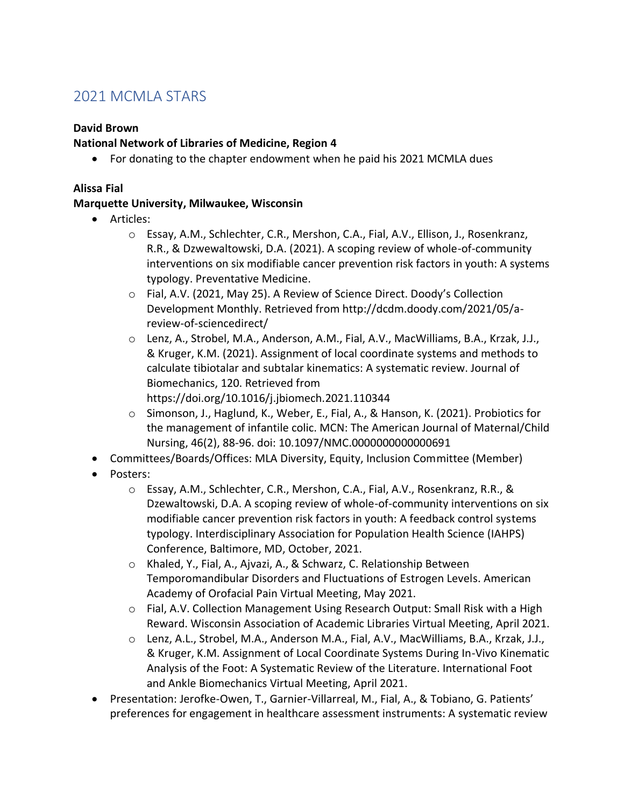# 2021 MCMLA STARS

## **David Brown**

## **National Network of Libraries of Medicine, Region 4**

• For donating to the chapter endowment when he paid his 2021 MCMLA dues

#### **Alissa Fial**

## **Marquette University, Milwaukee, Wisconsin**

- Articles:
	- o Essay, A.M., Schlechter, C.R., Mershon, C.A., Fial, A.V., Ellison, J., Rosenkranz, R.R., & Dzwewaltowski, D.A. (2021). A scoping review of whole-of-community interventions on six modifiable cancer prevention risk factors in youth: A systems typology. Preventative Medicine.
	- o Fial, A.V. (2021, May 25). A Review of Science Direct. Doody's Collection Development Monthly. Retrieved from http://dcdm.doody.com/2021/05/areview-of-sciencedirect/
	- o Lenz, A., Strobel, M.A., Anderson, A.M., Fial, A.V., MacWilliams, B.A., Krzak, J.J., & Kruger, K.M. (2021). Assignment of local coordinate systems and methods to calculate tibiotalar and subtalar kinematics: A systematic review. Journal of Biomechanics, 120. Retrieved from https://doi.org/10.1016/j.jbiomech.2021.110344
	- o Simonson, J., Haglund, K., Weber, E., Fial, A., & Hanson, K. (2021). Probiotics for the management of infantile colic. MCN: The American Journal of Maternal/Child Nursing, 46(2), 88-96. doi: 10.1097/NMC.0000000000000691
- Committees/Boards/Offices: MLA Diversity, Equity, Inclusion Committee (Member)
- Posters:
	- o Essay, A.M., Schlechter, C.R., Mershon, C.A., Fial, A.V., Rosenkranz, R.R., & Dzewaltowski, D.A. A scoping review of whole-of-community interventions on six modifiable cancer prevention risk factors in youth: A feedback control systems typology. Interdisciplinary Association for Population Health Science (IAHPS) Conference, Baltimore, MD, October, 2021.
	- o Khaled, Y., Fial, A., Ajvazi, A., & Schwarz, C. Relationship Between Temporomandibular Disorders and Fluctuations of Estrogen Levels. American Academy of Orofacial Pain Virtual Meeting, May 2021.
	- o Fial, A.V. Collection Management Using Research Output: Small Risk with a High Reward. Wisconsin Association of Academic Libraries Virtual Meeting, April 2021.
	- o Lenz, A.L., Strobel, M.A., Anderson M.A., Fial, A.V., MacWilliams, B.A., Krzak, J.J., & Kruger, K.M. Assignment of Local Coordinate Systems During In-Vivo Kinematic Analysis of the Foot: A Systematic Review of the Literature. International Foot and Ankle Biomechanics Virtual Meeting, April 2021.
- Presentation: Jerofke-Owen, T., Garnier-Villarreal, M., Fial, A., & Tobiano, G. Patients' preferences for engagement in healthcare assessment instruments: A systematic review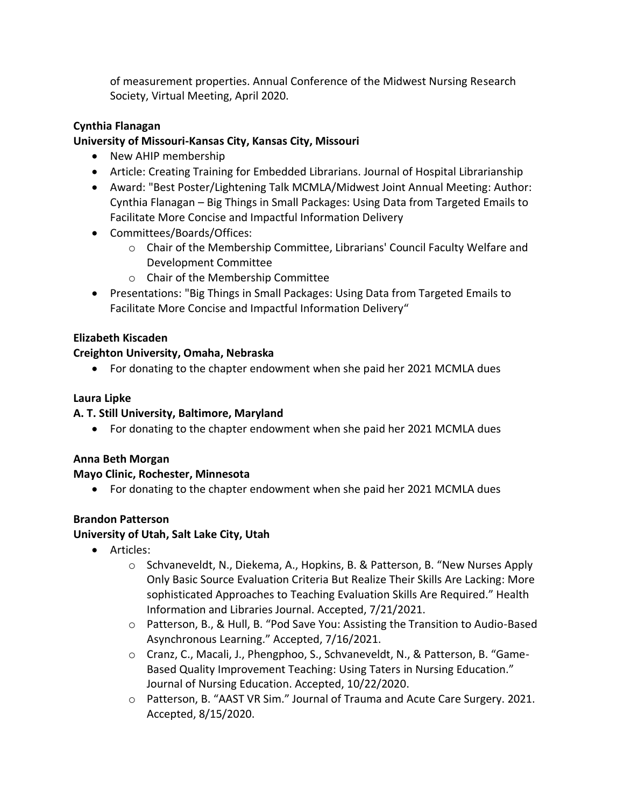of measurement properties. Annual Conference of the Midwest Nursing Research Society, Virtual Meeting, April 2020.

# **Cynthia Flanagan**

# **University of Missouri-Kansas City, Kansas City, Missouri**

- New AHIP membership
- Article: Creating Training for Embedded Librarians. Journal of Hospital Librarianship
- Award: "Best Poster/Lightening Talk MCMLA/Midwest Joint Annual Meeting: Author: Cynthia Flanagan – Big Things in Small Packages: Using Data from Targeted Emails to Facilitate More Concise and Impactful Information Delivery
- Committees/Boards/Offices:
	- $\circ$  Chair of the Membership Committee, Librarians' Council Faculty Welfare and Development Committee
	- o Chair of the Membership Committee
- Presentations: "Big Things in Small Packages: Using Data from Targeted Emails to Facilitate More Concise and Impactful Information Delivery"

# **Elizabeth Kiscaden**

# **Creighton University, Omaha, Nebraska**

• For donating to the chapter endowment when she paid her 2021 MCMLA dues

# **Laura Lipke**

## **A. T. Still University, Baltimore, Maryland**

• For donating to the chapter endowment when she paid her 2021 MCMLA dues

## **Anna Beth Morgan**

## **Mayo Clinic, Rochester, Minnesota**

• For donating to the chapter endowment when she paid her 2021 MCMLA dues

# **Brandon Patterson**

# **University of Utah, Salt Lake City, Utah**

- Articles:
	- o Schvaneveldt, N., Diekema, A., Hopkins, B. & Patterson, B. "New Nurses Apply Only Basic Source Evaluation Criteria But Realize Their Skills Are Lacking: More sophisticated Approaches to Teaching Evaluation Skills Are Required." Health Information and Libraries Journal. Accepted, 7/21/2021.
	- o Patterson, B., & Hull, B. "Pod Save You: Assisting the Transition to Audio-Based Asynchronous Learning." Accepted, 7/16/2021.
	- o Cranz, C., Macali, J., Phengphoo, S., Schvaneveldt, N., & Patterson, B. "Game-Based Quality Improvement Teaching: Using Taters in Nursing Education." Journal of Nursing Education. Accepted, 10/22/2020.
	- o Patterson, B. "AAST VR Sim." Journal of Trauma and Acute Care Surgery. 2021. Accepted, 8/15/2020.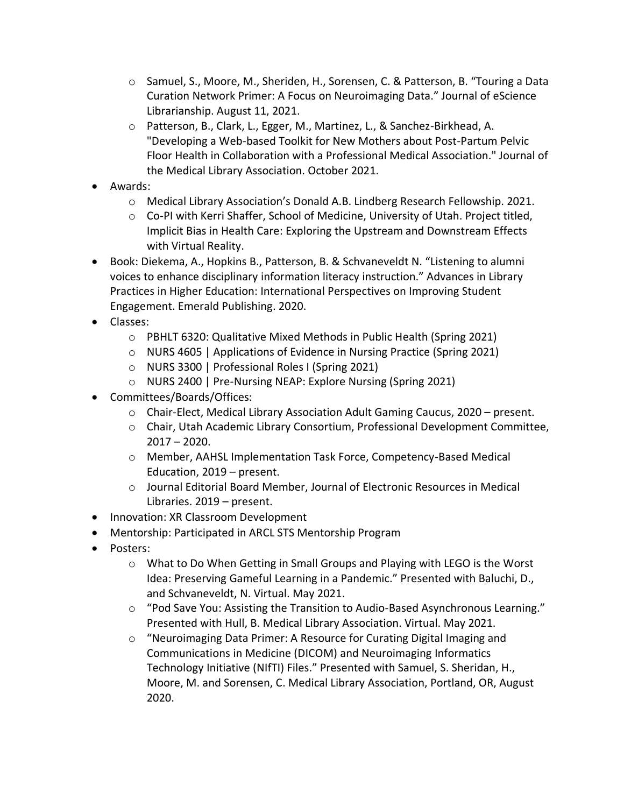- o Samuel, S., Moore, M., Sheriden, H., Sorensen, C. & Patterson, B. "Touring a Data Curation Network Primer: A Focus on Neuroimaging Data." Journal of eScience Librarianship. August 11, 2021.
- o Patterson, B., Clark, L., Egger, M., Martinez, L., & Sanchez-Birkhead, A. "Developing a Web-based Toolkit for New Mothers about Post-Partum Pelvic Floor Health in Collaboration with a Professional Medical Association." Journal of the Medical Library Association. October 2021.
- Awards:
	- o Medical Library Association's Donald A.B. Lindberg Research Fellowship. 2021.
	- o Co-PI with Kerri Shaffer, School of Medicine, University of Utah. Project titled, Implicit Bias in Health Care: Exploring the Upstream and Downstream Effects with Virtual Reality.
- Book: Diekema, A., Hopkins B., Patterson, B. & Schvaneveldt N. "Listening to alumni voices to enhance disciplinary information literacy instruction." Advances in Library Practices in Higher Education: International Perspectives on Improving Student Engagement. Emerald Publishing. 2020.
- Classes:
	- o PBHLT 6320: Qualitative Mixed Methods in Public Health (Spring 2021)
	- o NURS 4605 | Applications of Evidence in Nursing Practice (Spring 2021)
	- o NURS 3300 | Professional Roles I (Spring 2021)
	- o NURS 2400 | Pre-Nursing NEAP: Explore Nursing (Spring 2021)
- Committees/Boards/Offices:
	- $\circ$  Chair-Elect, Medical Library Association Adult Gaming Caucus, 2020 present.
	- o Chair, Utah Academic Library Consortium, Professional Development Committee, 2017 – 2020.
	- o Member, AAHSL Implementation Task Force, Competency-Based Medical Education, 2019 – present.
	- o Journal Editorial Board Member, Journal of Electronic Resources in Medical Libraries. 2019 – present.
- Innovation: XR Classroom Development
- Mentorship: Participated in ARCL STS Mentorship Program
- Posters:
	- o What to Do When Getting in Small Groups and Playing with LEGO is the Worst Idea: Preserving Gameful Learning in a Pandemic." Presented with Baluchi, D., and Schvaneveldt, N. Virtual. May 2021.
	- o "Pod Save You: Assisting the Transition to Audio-Based Asynchronous Learning." Presented with Hull, B. Medical Library Association. Virtual. May 2021.
	- o "Neuroimaging Data Primer: A Resource for Curating Digital Imaging and Communications in Medicine (DICOM) and Neuroimaging Informatics Technology Initiative (NIfTI) Files." Presented with Samuel, S. Sheridan, H., Moore, M. and Sorensen, C. Medical Library Association, Portland, OR, August 2020.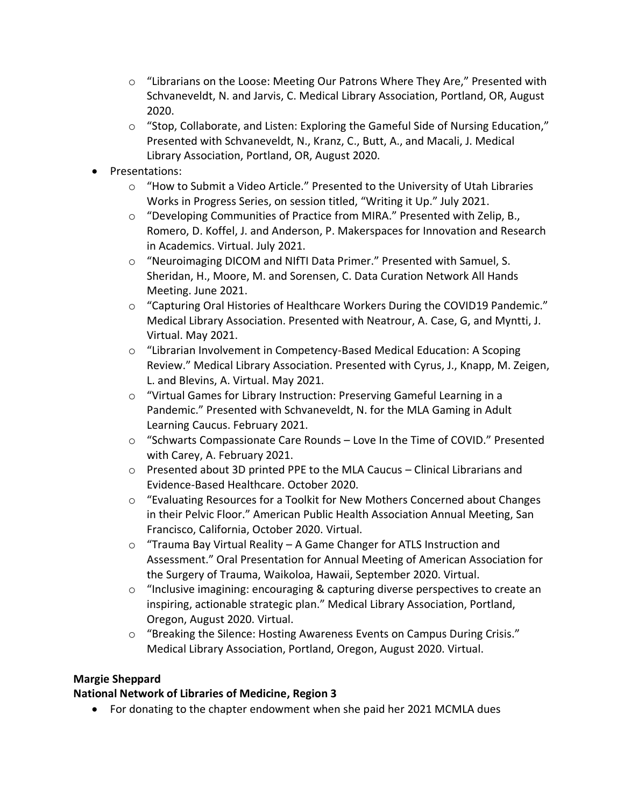- $\circ$  "Librarians on the Loose: Meeting Our Patrons Where They Are," Presented with Schvaneveldt, N. and Jarvis, C. Medical Library Association, Portland, OR, August 2020.
- $\circ$  "Stop, Collaborate, and Listen: Exploring the Gameful Side of Nursing Education," Presented with Schvaneveldt, N., Kranz, C., Butt, A., and Macali, J. Medical Library Association, Portland, OR, August 2020.
- Presentations:
	- $\circ$  "How to Submit a Video Article." Presented to the University of Utah Libraries Works in Progress Series, on session titled, "Writing it Up." July 2021.
	- $\circ$  "Developing Communities of Practice from MIRA." Presented with Zelip, B., Romero, D. Koffel, J. and Anderson, P. Makerspaces for Innovation and Research in Academics. Virtual. July 2021.
	- o "Neuroimaging DICOM and NIfTI Data Primer." Presented with Samuel, S. Sheridan, H., Moore, M. and Sorensen, C. Data Curation Network All Hands Meeting. June 2021.
	- o "Capturing Oral Histories of Healthcare Workers During the COVID19 Pandemic." Medical Library Association. Presented with Neatrour, A. Case, G, and Myntti, J. Virtual. May 2021.
	- o "Librarian Involvement in Competency-Based Medical Education: A Scoping Review." Medical Library Association. Presented with Cyrus, J., Knapp, M. Zeigen, L. and Blevins, A. Virtual. May 2021.
	- o "Virtual Games for Library Instruction: Preserving Gameful Learning in a Pandemic." Presented with Schvaneveldt, N. for the MLA Gaming in Adult Learning Caucus. February 2021.
	- $\circ$  "Schwarts Compassionate Care Rounds Love In the Time of COVID." Presented with Carey, A. February 2021.
	- o Presented about 3D printed PPE to the MLA Caucus Clinical Librarians and Evidence-Based Healthcare. October 2020.
	- $\circ$  "Evaluating Resources for a Toolkit for New Mothers Concerned about Changes in their Pelvic Floor." American Public Health Association Annual Meeting, San Francisco, California, October 2020. Virtual.
	- o "Trauma Bay Virtual Reality A Game Changer for ATLS Instruction and Assessment." Oral Presentation for Annual Meeting of American Association for the Surgery of Trauma, Waikoloa, Hawaii, September 2020. Virtual.
	- o "Inclusive imagining: encouraging & capturing diverse perspectives to create an inspiring, actionable strategic plan." Medical Library Association, Portland, Oregon, August 2020. Virtual.
	- $\circ$  "Breaking the Silence: Hosting Awareness Events on Campus During Crisis." Medical Library Association, Portland, Oregon, August 2020. Virtual.

# **Margie Sheppard**

# **National Network of Libraries of Medicine, Region 3**

• For donating to the chapter endowment when she paid her 2021 MCMLA dues